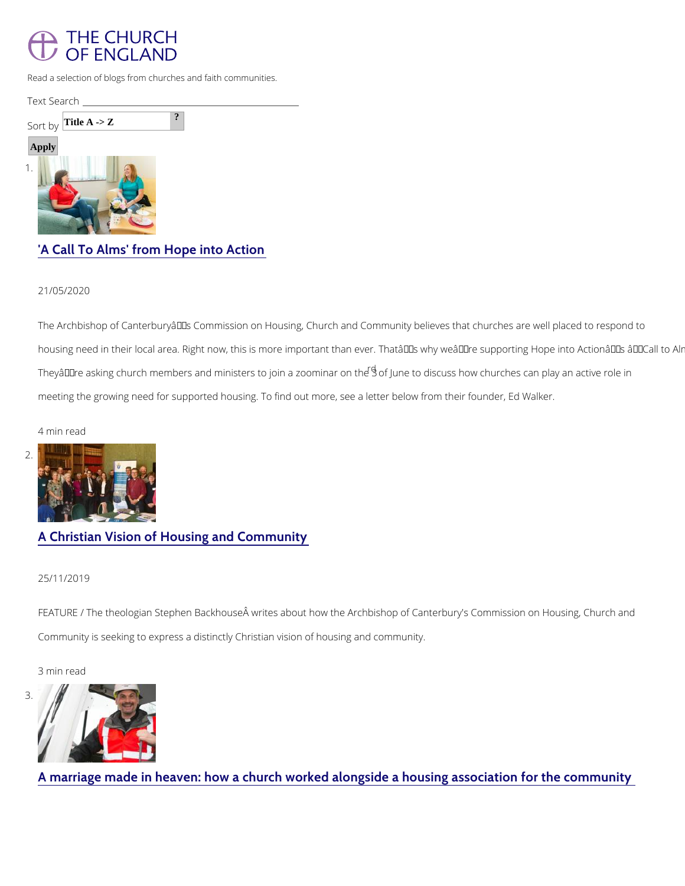

Read a selection of blogs from churches and faith communities.

| Text Se <u>arch</u> |  |  |
|---------------------|--|--|
| Sort Title A -> Z   |  |  |
| Apply               |  |  |
|                     |  |  |

# ['A Call To Alms' from H](/about/archbishops-commissions/housing-church-and-community/church-blogs/call-alms-hope-action)ope into Action

21/05/2020

The Archbishop of Canterbury a €™s Commission on Housing, Church and Community believe housing need in their local area. Right now, this is more important than ever. That $\hat{a} \in \text{TMs}$  wh They're asking church members and ministe<sup>rd</sup>so**f**oJ**µcnie to zobiosnoninsarhoonw toheu8**ches can play an active fo meeting the growing need for supported housing. To find out more, see a letter below from

FEATURE / The theologian Stephen Backhouse writes about how the Archbishop of Canterb Community is seeking to express a distinctly Christian vision of housing and community.

4 min read

2[.](/about/archbishops-commissions/housing-church-and-community/church-blogs/christian-vision-housing)

## [A Christian Vision of Housi](/about/archbishops-commissions/housing-church-and-community/church-blogs/christian-vision-housing)ng and Community

#### 25/11/2019

3 min read

3[.](/about/archbishops-commissions/housing-church-and-community/church-blogs/marriage-made-heaven-how)

# [A marriage made in heaven: how a church worked alongside](/about/archbishops-commissions/housing-church-and-community/church-blogs/marriage-made-heaven-how) a hous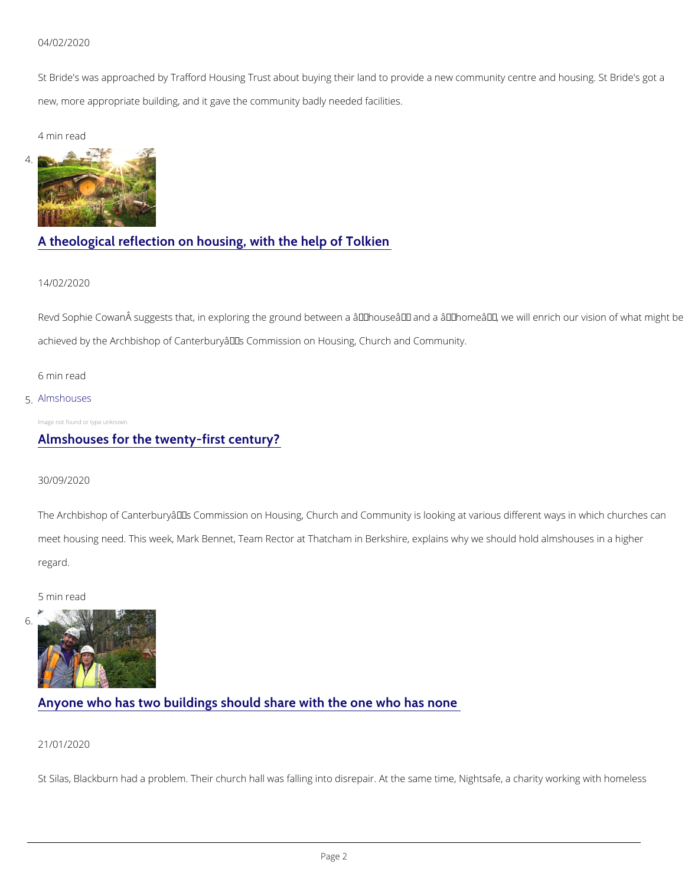#### 04/02/2020

St Bride's was approached by Trafford Housing Trust about buying their land to provide a n new, more appropriate building, and it gave the community badly needed facilities.

4 min read

4[.](/about/archbishops-commissions/housing-church-and-community/church-blogs/theological-reflection)

## [A theological reflection on housing,](/about/archbishops-commissions/housing-church-and-community/church-blogs/theological-reflection) with the help of Tolkien

14/02/2020

Revd Sophie Cowan suggests that, in exploring the ground between a  $\hat{a} \in \tilde{a}$ house $\hat{a} \in \mathbb{N}$  and a achieved by the Archbishop of Canterbury a€<sup>™</sup>s Commission on Housing, Church and Commu

The Archbishop of Canterbury a €™s Commission on Housing, Church and Community is looki meet housing need. This week, Mark Bennet, Team Rector at Thatcham in Berkshire, explain regard.

6 min read

#### 5[.Almshouses](/about/archbishops-commissions/housing-church-and-community/church-blogs/almshouses-twenty-first)

Image not found or type unknown

## [Almshouses for the twen](/about/archbishops-commissions/housing-church-and-community/church-blogs/almshouses-twenty-first)ty-first century?

30/09/2020

5 min read

# [Anyone who has two buildings should share](/about/archbishops-commissions/housing-church-and-community/church-blogs/anyone-who-has-two) with the one who has

21/01/2020

St Silas, Blackburn had a problem. Their church hall was falling into disrepair. At the same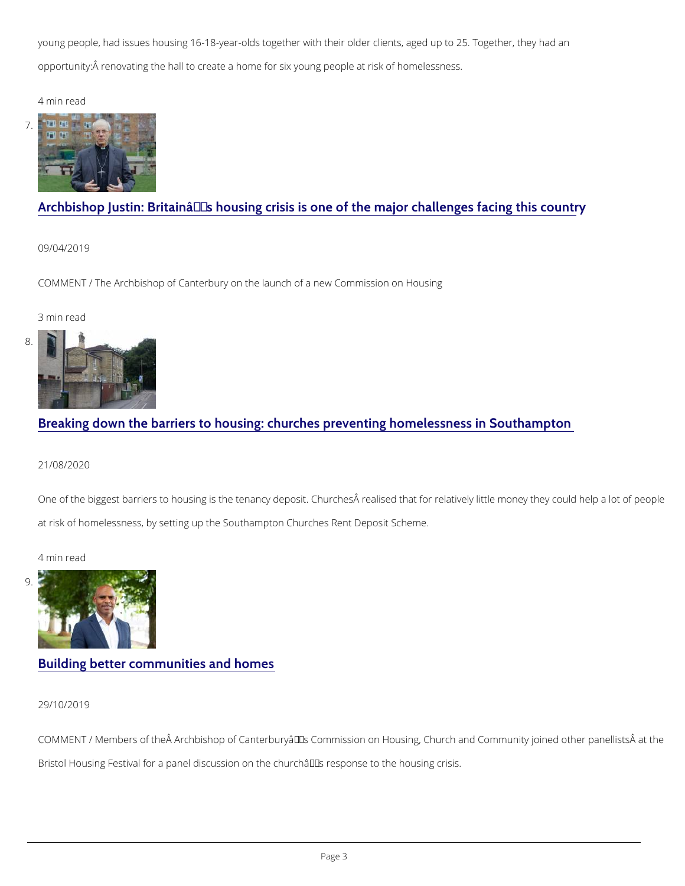young people, had issues housing 16-18-year-olds together with their older clients, aged up opportunity: Â renovating the hall to create a home for six young people at risk of homeless

4 min read

7[.](/about/archbishops-commissions/housing-church-and-community/church-blogs/archbishop-justin-britains)

# Archbishop Justin: Britain $\hat{a} \in T^M$ s housing crisis is one of the majo

09/04/2019

COMMENT / The Archbishop of Canterbury on the launch of a new Commission on Housing

One of the biggest barriers to housing is the tenancy deposit. Churches  $\hat{A}$  realised that for  $I$ at risk of homelessness, by setting up the Southampton Churches Rent Deposit Scheme.

3 min read

8[.](/about/archbishops-commissions/housing-church-and-community/church-blogs/breaking-down-barriers)

# [Breaking down the barriers to housing: churches preve](/about/archbishops-commissions/housing-church-and-community/church-blogs/breaking-down-barriers)nting home

21/08/2020

4 min read

9[.](/about/archbishops-commissions/housing-church-and-community/church-blogs/building-better-communities)

# [Building better communi](/about/archbishops-commissions/housing-church-and-community/church-blogs/building-better-communities)ties and homes

29/10/2019

COMMENT / Members of the  $\hat{A}$  Archbishop of Canterbury  $\hat{a} \in T^M$  s Commission on Housing, Churc

Bristol Housing Festival for a panel discussion on the church $\hat{a} \in \mathbb{T}^M$ s response to the housing